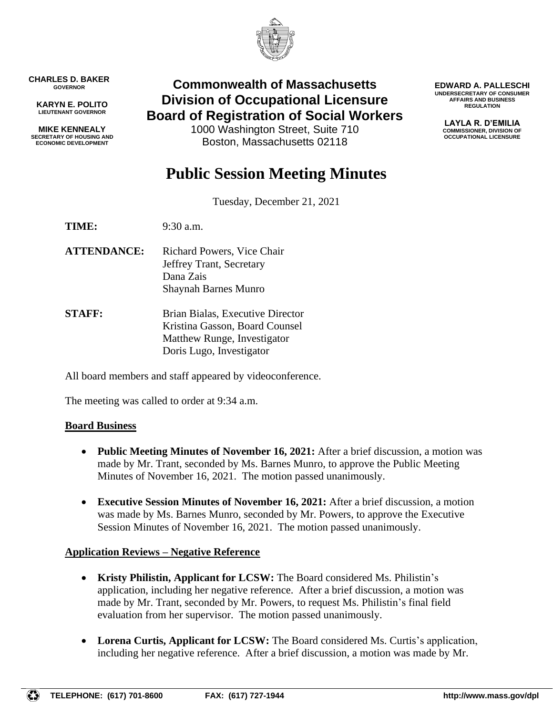

**CHARLES D. BAKER GOVERNOR**

**KARYN E. POLITO LIEUTENANT GOVERNOR**

**MIKE KENNEALY SECRETARY OF HOUSING AND ECONOMIC DEVELOPMENT**

# **Commonwealth of Massachusetts Division of Occupational Licensure Board of Registration of Social Workers**

1000 Washington Street, Suite 710 Boston, Massachusetts 02118

**EDWARD A. PALLESCHI UNDERSECRETARY OF CONSUMER AFFAIRS AND BUSINESS REGULATION**

> **LAYLA R. D'EMILIA COMMISSIONER, DIVISION OF OCCUPATIONAL LICENSURE**

# **Public Session Meeting Minutes**

Tuesday, December 21, 2021

**TIME:** 9:30 a.m.

- **ATTENDANCE:** Richard Powers, Vice Chair Jeffrey Trant, Secretary Dana Zais Shaynah Barnes Munro
- **STAFF:** Brian Bialas, Executive Director Kristina Gasson, Board Counsel Matthew Runge, Investigator Doris Lugo, Investigator

All board members and staff appeared by videoconference.

The meeting was called to order at 9:34 a.m.

#### **Board Business**

- **Public Meeting Minutes of November 16, 2021:** After a brief discussion, a motion was made by Mr. Trant, seconded by Ms. Barnes Munro, to approve the Public Meeting Minutes of November 16, 2021. The motion passed unanimously.
- **Executive Session Minutes of November 16, 2021:** After a brief discussion, a motion was made by Ms. Barnes Munro, seconded by Mr. Powers, to approve the Executive Session Minutes of November 16, 2021. The motion passed unanimously.

#### **Application Reviews – Negative Reference**

- **Kristy Philistin, Applicant for LCSW:** The Board considered Ms. Philistin's application, including her negative reference. After a brief discussion, a motion was made by Mr. Trant, seconded by Mr. Powers, to request Ms. Philistin's final field evaluation from her supervisor. The motion passed unanimously.
- **Lorena Curtis, Applicant for LCSW:** The Board considered Ms. Curtis's application, including her negative reference. After a brief discussion, a motion was made by Mr.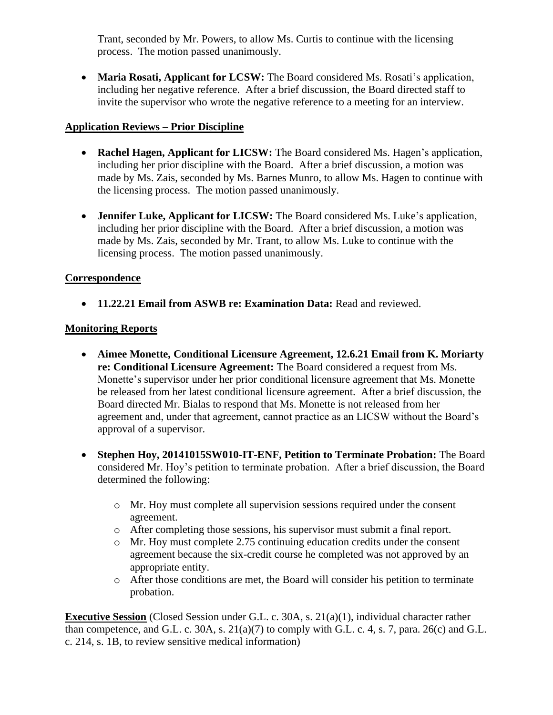Trant, seconded by Mr. Powers, to allow Ms. Curtis to continue with the licensing process. The motion passed unanimously.

• **Maria Rosati, Applicant for LCSW:** The Board considered Ms. Rosati's application, including her negative reference. After a brief discussion, the Board directed staff to invite the supervisor who wrote the negative reference to a meeting for an interview.

## **Application Reviews – Prior Discipline**

- **Rachel Hagen, Applicant for LICSW:** The Board considered Ms. Hagen's application, including her prior discipline with the Board. After a brief discussion, a motion was made by Ms. Zais, seconded by Ms. Barnes Munro, to allow Ms. Hagen to continue with the licensing process. The motion passed unanimously.
- **Jennifer Luke, Applicant for LICSW:** The Board considered Ms. Luke's application, including her prior discipline with the Board. After a brief discussion, a motion was made by Ms. Zais, seconded by Mr. Trant, to allow Ms. Luke to continue with the licensing process. The motion passed unanimously.

## **Correspondence**

• **11.22.21 Email from ASWB re: Examination Data:** Read and reviewed.

## **Monitoring Reports**

- **Aimee Monette, Conditional Licensure Agreement, 12.6.21 Email from K. Moriarty re: Conditional Licensure Agreement:** The Board considered a request from Ms. Monette's supervisor under her prior conditional licensure agreement that Ms. Monette be released from her latest conditional licensure agreement. After a brief discussion, the Board directed Mr. Bialas to respond that Ms. Monette is not released from her agreement and, under that agreement, cannot practice as an LICSW without the Board's approval of a supervisor.
- **Stephen Hoy, 20141015SW010-IT-ENF, Petition to Terminate Probation:** The Board considered Mr. Hoy's petition to terminate probation. After a brief discussion, the Board determined the following:
	- o Mr. Hoy must complete all supervision sessions required under the consent agreement.
	- o After completing those sessions, his supervisor must submit a final report.
	- o Mr. Hoy must complete 2.75 continuing education credits under the consent agreement because the six-credit course he completed was not approved by an appropriate entity.
	- o After those conditions are met, the Board will consider his petition to terminate probation.

**Executive Session** (Closed Session under G.L. c. 30A, s. 21(a)(1), individual character rather than competence, and G.L. c. 30A, s. 21(a)(7) to comply with G.L. c. 4, s. 7, para. 26(c) and G.L. c. 214, s. 1B, to review sensitive medical information)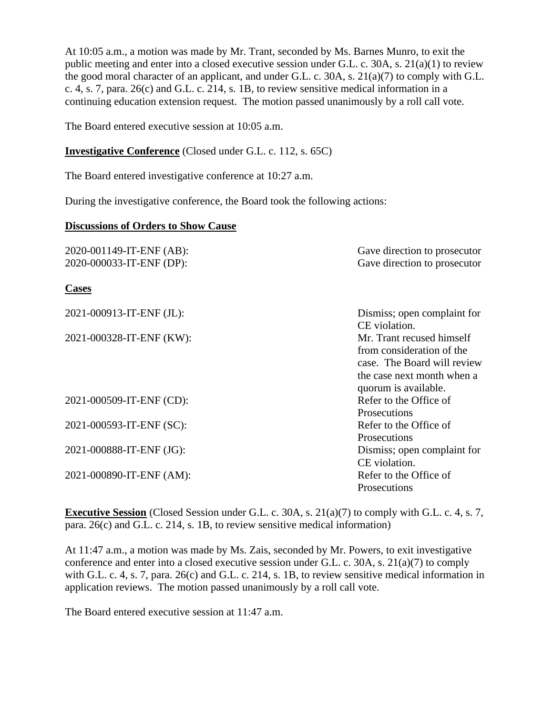At 10:05 a.m., a motion was made by Mr. Trant, seconded by Ms. Barnes Munro, to exit the public meeting and enter into a closed executive session under G.L. c. 30A, s. 21(a)(1) to review the good moral character of an applicant, and under G.L. c. 30A, s. 21(a)(7) to comply with G.L. c. 4, s. 7, para. 26(c) and G.L. c. 214, s. 1B, to review sensitive medical information in a continuing education extension request. The motion passed unanimously by a roll call vote.

The Board entered executive session at 10:05 a.m.

#### **Investigative Conference** (Closed under G.L. c. 112, s. 65C)

The Board entered investigative conference at 10:27 a.m.

During the investigative conference, the Board took the following actions:

#### **Discussions of Orders to Show Cause**

| 2020-001149-IT-ENF (AB): | Gave direction to prosecutor                                                                                                                |
|--------------------------|---------------------------------------------------------------------------------------------------------------------------------------------|
| 2020-000033-IT-ENF (DP): | Gave direction to prosecutor                                                                                                                |
| <b>Cases</b>             |                                                                                                                                             |
| 2021-000913-IT-ENF (JL): | Dismiss; open complaint for<br>CE violation.                                                                                                |
| 2021-000328-IT-ENF (KW): | Mr. Trant recused himself<br>from consideration of the<br>case. The Board will review<br>the case next month when a<br>quorum is available. |
| 2021-000509-IT-ENF (CD): | Refer to the Office of<br>Prosecutions                                                                                                      |
| 2021-000593-IT-ENF (SC): | Refer to the Office of<br>Prosecutions                                                                                                      |
| 2021-000888-IT-ENF (JG): | Dismiss; open complaint for<br>CE violation.                                                                                                |
| 2021-000890-IT-ENF (AM): | Refer to the Office of<br>Prosecutions                                                                                                      |

**Executive Session** (Closed Session under G.L. c. 30A, s. 21(a)(7) to comply with G.L. c. 4, s. 7, para. 26(c) and G.L. c. 214, s. 1B, to review sensitive medical information)

At 11:47 a.m., a motion was made by Ms. Zais, seconded by Mr. Powers, to exit investigative conference and enter into a closed executive session under G.L. c. 30A, s. 21(a)(7) to comply with G.L. c. 4, s. 7, para. 26(c) and G.L. c. 214, s. 1B, to review sensitive medical information in application reviews. The motion passed unanimously by a roll call vote.

The Board entered executive session at 11:47 a.m.